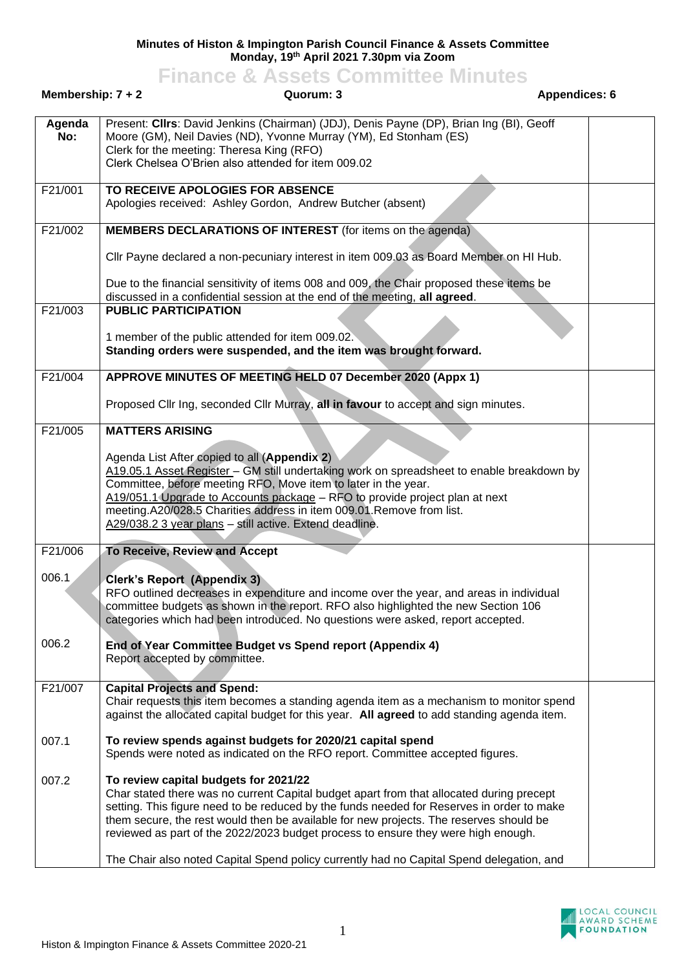## **Minutes of Histon & Impington Parish Council Finance & Assets Committee Monday, 19th April 2021 7.30pm via Zoom**

|                     | <b>Finance &amp; Assets Committee Minutes</b>                                                                                                                                                                                                                                                                                                                                                                                 |                      |
|---------------------|-------------------------------------------------------------------------------------------------------------------------------------------------------------------------------------------------------------------------------------------------------------------------------------------------------------------------------------------------------------------------------------------------------------------------------|----------------------|
| Membership: $7 + 2$ | Quorum: 3                                                                                                                                                                                                                                                                                                                                                                                                                     | <b>Appendices: 6</b> |
| Agenda<br>No:       | Present: Cllrs: David Jenkins (Chairman) (JDJ), Denis Payne (DP), Brian Ing (BI), Geoff<br>Moore (GM), Neil Davies (ND), Yvonne Murray (YM), Ed Stonham (ES)<br>Clerk for the meeting: Theresa King (RFO)<br>Clerk Chelsea O'Brien also attended for item 009.02                                                                                                                                                              |                      |
| F21/001             | TO RECEIVE APOLOGIES FOR ABSENCE<br>Apologies received: Ashley Gordon, Andrew Butcher (absent)                                                                                                                                                                                                                                                                                                                                |                      |
| F21/002             | <b>MEMBERS DECLARATIONS OF INTEREST</b> (for items on the agenda)                                                                                                                                                                                                                                                                                                                                                             |                      |
|                     | Cllr Payne declared a non-pecuniary interest in item 009.03 as Board Member on HI Hub.                                                                                                                                                                                                                                                                                                                                        |                      |
|                     | Due to the financial sensitivity of items 008 and 009, the Chair proposed these items be<br>discussed in a confidential session at the end of the meeting, all agreed.                                                                                                                                                                                                                                                        |                      |
| F21/003             | <b>PUBLIC PARTICIPATION</b>                                                                                                                                                                                                                                                                                                                                                                                                   |                      |
|                     | 1 member of the public attended for item 009.02.<br>Standing orders were suspended, and the item was brought forward.                                                                                                                                                                                                                                                                                                         |                      |
| F21/004             | APPROVE MINUTES OF MEETING HELD 07 December 2020 (Appx 1)                                                                                                                                                                                                                                                                                                                                                                     |                      |
|                     | Proposed Cllr Ing, seconded Cllr Murray, all in favour to accept and sign minutes.                                                                                                                                                                                                                                                                                                                                            |                      |
| F21/005             | <b>MATTERS ARISING</b>                                                                                                                                                                                                                                                                                                                                                                                                        |                      |
|                     | Agenda List After copied to all (Appendix 2)<br>A19.05.1 Asset Register - GM still undertaking work on spreadsheet to enable breakdown by<br>Committee, before meeting RFO, Move item to later in the year.<br>A19/051.1 Upgrade to Accounts package - RFO to provide project plan at next<br>meeting.A20/028.5 Charities address in item 009.01.Remove from list.<br>A29/038.2 3 year plans - still active. Extend deadline. |                      |
| F21/006             | To Receive, Review and Accept                                                                                                                                                                                                                                                                                                                                                                                                 |                      |
| 006.1               | <b>Clerk's Report (Appendix 3)</b><br>RFO outlined decreases in expenditure and income over the year, and areas in individual<br>committee budgets as shown in the report. RFO also highlighted the new Section 106<br>categories which had been introduced. No questions were asked, report accepted.                                                                                                                        |                      |
| 006.2               | End of Year Committee Budget vs Spend report (Appendix 4)<br>Report accepted by committee.                                                                                                                                                                                                                                                                                                                                    |                      |
| F21/007             | <b>Capital Projects and Spend:</b><br>Chair requests this item becomes a standing agenda item as a mechanism to monitor spend<br>against the allocated capital budget for this year. All agreed to add standing agenda item.                                                                                                                                                                                                  |                      |
| 007.1               | To review spends against budgets for 2020/21 capital spend<br>Spends were noted as indicated on the RFO report. Committee accepted figures.                                                                                                                                                                                                                                                                                   |                      |
| 007.2               | To review capital budgets for 2021/22<br>Char stated there was no current Capital budget apart from that allocated during precept<br>setting. This figure need to be reduced by the funds needed for Reserves in order to make<br>them secure, the rest would then be available for new projects. The reserves should be                                                                                                      |                      |

reviewed as part of the 2022/2023 budget process to ensure they were high enough.

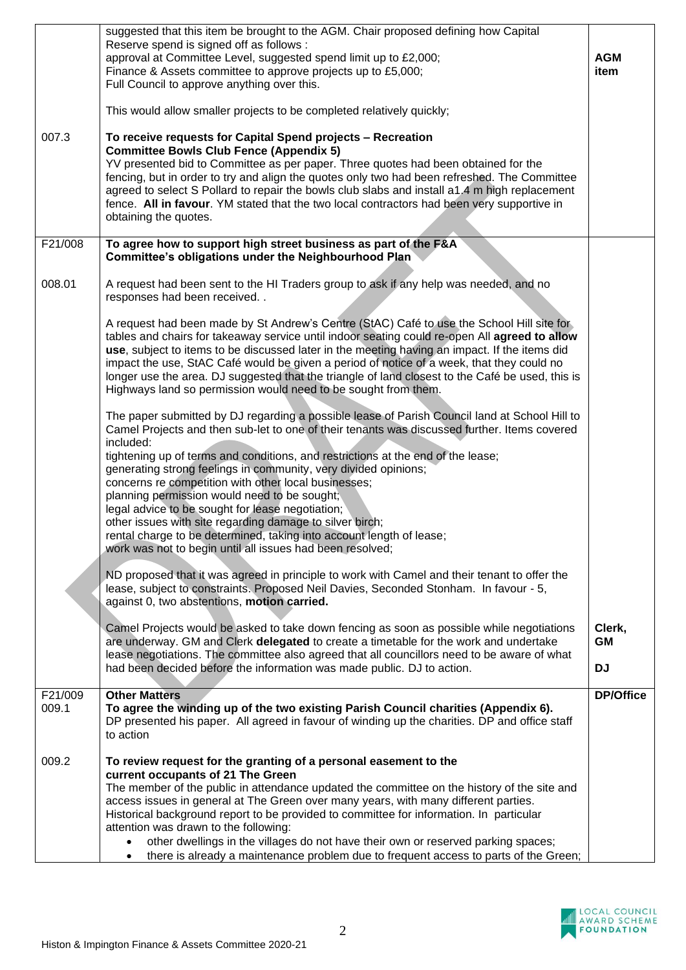| 007.3            | suggested that this item be brought to the AGM. Chair proposed defining how Capital<br>Reserve spend is signed off as follows :<br>approval at Committee Level, suggested spend limit up to £2,000;<br>Finance & Assets committee to approve projects up to £5,000;<br>Full Council to approve anything over this.<br>This would allow smaller projects to be completed relatively quickly;<br>To receive requests for Capital Spend projects - Recreation<br><b>Committee Bowls Club Fence (Appendix 5)</b><br>YV presented bid to Committee as per paper. Three quotes had been obtained for the<br>fencing, but in order to try and align the quotes only two had been refreshed. The Committee<br>agreed to select S Pollard to repair the bowls club slabs and install a1.4 m high replacement<br>fence. All in favour. YM stated that the two local contractors had been very supportive in<br>obtaining the quotes.                                                                                                                                                                                                                                                                                                                                                                                                                                                                                                                                                                                                                                                                                                                                       | <b>AGM</b><br>item |
|------------------|------------------------------------------------------------------------------------------------------------------------------------------------------------------------------------------------------------------------------------------------------------------------------------------------------------------------------------------------------------------------------------------------------------------------------------------------------------------------------------------------------------------------------------------------------------------------------------------------------------------------------------------------------------------------------------------------------------------------------------------------------------------------------------------------------------------------------------------------------------------------------------------------------------------------------------------------------------------------------------------------------------------------------------------------------------------------------------------------------------------------------------------------------------------------------------------------------------------------------------------------------------------------------------------------------------------------------------------------------------------------------------------------------------------------------------------------------------------------------------------------------------------------------------------------------------------------------------------------------------------------------------------------------------------|--------------------|
| F21/008          | To agree how to support high street business as part of the F&A<br>Committee's obligations under the Neighbourhood Plan                                                                                                                                                                                                                                                                                                                                                                                                                                                                                                                                                                                                                                                                                                                                                                                                                                                                                                                                                                                                                                                                                                                                                                                                                                                                                                                                                                                                                                                                                                                                          |                    |
| 008.01           | A request had been sent to the HI Traders group to ask if any help was needed, and no<br>responses had been received<br>A request had been made by St Andrew's Centre (StAC) Café to use the School Hill site for<br>tables and chairs for takeaway service until indoor seating could re-open All agreed to allow<br>use, subject to items to be discussed later in the meeting having an impact. If the items did<br>impact the use, StAC Café would be given a period of notice of a week, that they could no<br>longer use the area. DJ suggested that the triangle of land closest to the Café be used, this is<br>Highways land so permission would need to be sought from them.<br>The paper submitted by DJ regarding a possible lease of Parish Council land at School Hill to<br>Camel Projects and then sub-let to one of their tenants was discussed further. Items covered<br>included:<br>tightening up of terms and conditions, and restrictions at the end of the lease;<br>generating strong feelings in community, very divided opinions;<br>concerns re competition with other local businesses;<br>planning permission would need to be sought;<br>legal advice to be sought for lease negotiation;<br>other issues with site regarding damage to silver birch;<br>rental charge to be determined, taking into account length of lease;<br>work was not to begin until all issues had been resolved;<br>ND proposed that it was agreed in principle to work with Camel and their tenant to offer the<br>lease, subject to constraints. Proposed Neil Davies, Seconded Stonham. In favour - 5,<br>against 0, two abstentions, motion carried. |                    |
|                  | Camel Projects would be asked to take down fencing as soon as possible while negotiations<br>are underway. GM and Clerk delegated to create a timetable for the work and undertake                                                                                                                                                                                                                                                                                                                                                                                                                                                                                                                                                                                                                                                                                                                                                                                                                                                                                                                                                                                                                                                                                                                                                                                                                                                                                                                                                                                                                                                                               | Clerk,<br>GM       |
|                  | lease negotiations. The committee also agreed that all councillors need to be aware of what<br>had been decided before the information was made public. DJ to action.                                                                                                                                                                                                                                                                                                                                                                                                                                                                                                                                                                                                                                                                                                                                                                                                                                                                                                                                                                                                                                                                                                                                                                                                                                                                                                                                                                                                                                                                                            | <b>DJ</b>          |
| F21/009<br>009.1 | <b>Other Matters</b><br>To agree the winding up of the two existing Parish Council charities (Appendix 6).<br>DP presented his paper. All agreed in favour of winding up the charities. DP and office staff<br>to action                                                                                                                                                                                                                                                                                                                                                                                                                                                                                                                                                                                                                                                                                                                                                                                                                                                                                                                                                                                                                                                                                                                                                                                                                                                                                                                                                                                                                                         | <b>DP/Office</b>   |
| 009.2            | To review request for the granting of a personal easement to the<br>current occupants of 21 The Green<br>The member of the public in attendance updated the committee on the history of the site and<br>access issues in general at The Green over many years, with many different parties.<br>Historical background report to be provided to committee for information. In particular<br>attention was drawn to the following:<br>other dwellings in the villages do not have their own or reserved parking spaces;<br>there is already a maintenance problem due to frequent access to parts of the Green;                                                                                                                                                                                                                                                                                                                                                                                                                                                                                                                                                                                                                                                                                                                                                                                                                                                                                                                                                                                                                                                     |                    |

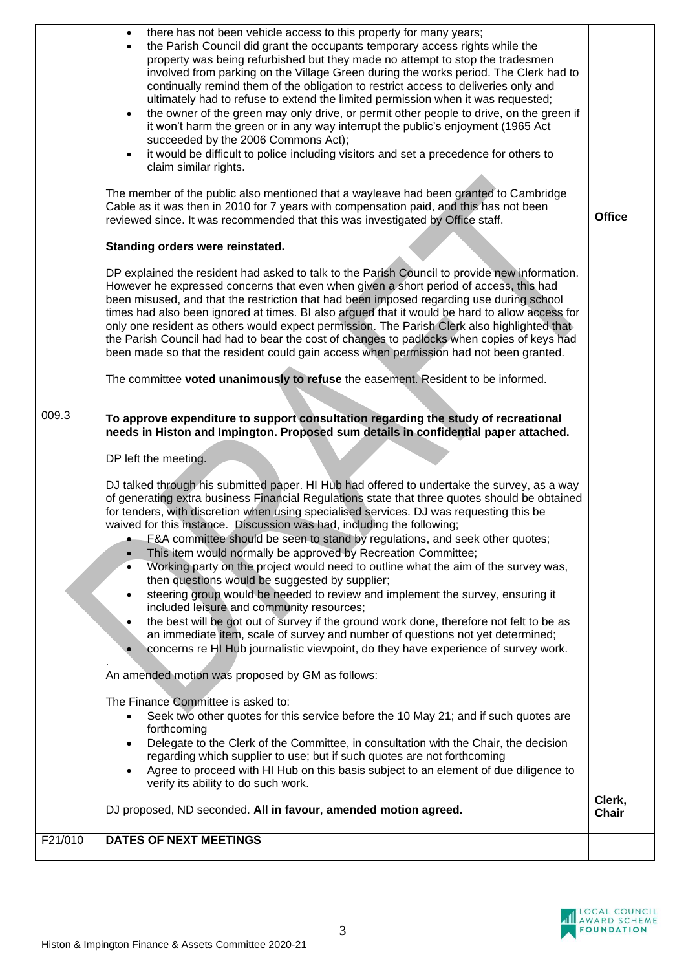|         | there has not been vehicle access to this property for many years;<br>$\bullet$<br>the Parish Council did grant the occupants temporary access rights while the<br>$\bullet$<br>property was being refurbished but they made no attempt to stop the tradesmen<br>involved from parking on the Village Green during the works period. The Clerk had to<br>continually remind them of the obligation to restrict access to deliveries only and<br>ultimately had to refuse to extend the limited permission when it was requested;<br>the owner of the green may only drive, or permit other people to drive, on the green if<br>$\bullet$<br>it won't harm the green or in any way interrupt the public's enjoyment (1965 Act<br>succeeded by the 2006 Commons Act);<br>it would be difficult to police including visitors and set a precedence for others to<br>$\bullet$<br>claim similar rights.<br>The member of the public also mentioned that a wayleave had been granted to Cambridge<br>Cable as it was then in 2010 for 7 years with compensation paid, and this has not been<br>reviewed since. It was recommended that this was investigated by Office staff. | <b>Office</b>          |
|---------|-------------------------------------------------------------------------------------------------------------------------------------------------------------------------------------------------------------------------------------------------------------------------------------------------------------------------------------------------------------------------------------------------------------------------------------------------------------------------------------------------------------------------------------------------------------------------------------------------------------------------------------------------------------------------------------------------------------------------------------------------------------------------------------------------------------------------------------------------------------------------------------------------------------------------------------------------------------------------------------------------------------------------------------------------------------------------------------------------------------------------------------------------------------------------|------------------------|
|         | Standing orders were reinstated.                                                                                                                                                                                                                                                                                                                                                                                                                                                                                                                                                                                                                                                                                                                                                                                                                                                                                                                                                                                                                                                                                                                                        |                        |
|         | DP explained the resident had asked to talk to the Parish Council to provide new information.<br>However he expressed concerns that even when given a short period of access, this had<br>been misused, and that the restriction that had been imposed regarding use during school<br>times had also been ignored at times. BI also argued that it would be hard to allow access for<br>only one resident as others would expect permission. The Parish Clerk also highlighted that<br>the Parish Council had had to bear the cost of changes to padlocks when copies of keys had<br>been made so that the resident could gain access when permission had not been granted.                                                                                                                                                                                                                                                                                                                                                                                                                                                                                             |                        |
|         | The committee voted unanimously to refuse the easement. Resident to be informed.                                                                                                                                                                                                                                                                                                                                                                                                                                                                                                                                                                                                                                                                                                                                                                                                                                                                                                                                                                                                                                                                                        |                        |
| 009.3   | To approve expenditure to support consultation regarding the study of recreational<br>needs in Histon and Impington. Proposed sum details in confidential paper attached.                                                                                                                                                                                                                                                                                                                                                                                                                                                                                                                                                                                                                                                                                                                                                                                                                                                                                                                                                                                               |                        |
|         | DP left the meeting.                                                                                                                                                                                                                                                                                                                                                                                                                                                                                                                                                                                                                                                                                                                                                                                                                                                                                                                                                                                                                                                                                                                                                    |                        |
|         | DJ talked through his submitted paper. HI Hub had offered to undertake the survey, as a way<br>of generating extra business Financial Regulations state that three quotes should be obtained<br>for tenders, with discretion when using specialised services. DJ was requesting this be<br>waived for this instance. Discussion was had, including the following;<br>F&A committee should be seen to stand by regulations, and seek other quotes;<br>This item would normally be approved by Recreation Committee;<br>$\bullet$<br>Working party on the project would need to outline what the aim of the survey was,<br>then questions would be suggested by supplier;<br>steering group would be needed to review and implement the survey, ensuring it<br>included leisure and community resources;<br>the best will be got out of survey if the ground work done, therefore not felt to be as<br>$\bullet$<br>an immediate item, scale of survey and number of questions not yet determined;<br>concerns re HI Hub journalistic viewpoint, do they have experience of survey work.                                                                                  |                        |
|         | An amended motion was proposed by GM as follows:                                                                                                                                                                                                                                                                                                                                                                                                                                                                                                                                                                                                                                                                                                                                                                                                                                                                                                                                                                                                                                                                                                                        |                        |
|         | The Finance Committee is asked to:<br>Seek two other quotes for this service before the 10 May 21; and if such quotes are<br>٠<br>forthcoming<br>Delegate to the Clerk of the Committee, in consultation with the Chair, the decision<br>$\bullet$<br>regarding which supplier to use; but if such quotes are not forthcoming<br>Agree to proceed with HI Hub on this basis subject to an element of due diligence to<br>$\bullet$<br>verify its ability to do such work.                                                                                                                                                                                                                                                                                                                                                                                                                                                                                                                                                                                                                                                                                               |                        |
|         | DJ proposed, ND seconded. All in favour, amended motion agreed.                                                                                                                                                                                                                                                                                                                                                                                                                                                                                                                                                                                                                                                                                                                                                                                                                                                                                                                                                                                                                                                                                                         | Clerk,<br><b>Chair</b> |
| F21/010 | <b>DATES OF NEXT MEETINGS</b>                                                                                                                                                                                                                                                                                                                                                                                                                                                                                                                                                                                                                                                                                                                                                                                                                                                                                                                                                                                                                                                                                                                                           |                        |
|         |                                                                                                                                                                                                                                                                                                                                                                                                                                                                                                                                                                                                                                                                                                                                                                                                                                                                                                                                                                                                                                                                                                                                                                         |                        |